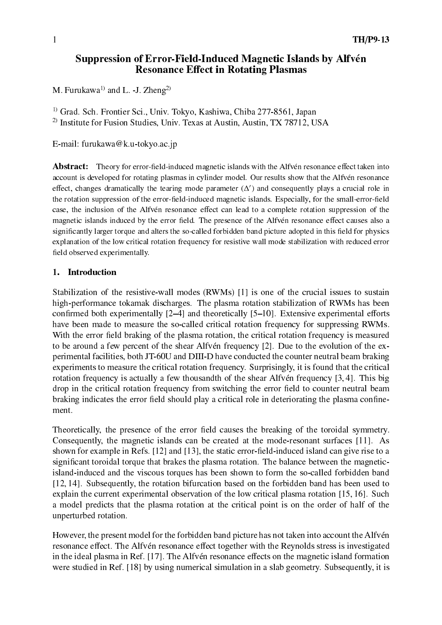# Suppression of Error-Field-Induced Magnetic Islands by Alfvén **Resonance Effect in Rotating Plasmas**

M. Furukawa<sup>1)</sup> and L. -J. Zheng<sup>2)</sup>

<sup>1)</sup> Grad. Sch. Frontier Sci., Univ. Tokyo, Kashiwa, Chiba 277-8561, Japan

<sup>2)</sup> Institute for Fusion Studies, Univ. Texas at Austin, Austin, TX 78712, USA

E-mail: furukawa@k.u-tokyo.ac.jp

**Abstract:** Theory for error-field-induced magnetic islands with the Alfvén resonance effect taken into account is developed for rotating plasmas in cylinder model. Our results show that the Alfvén resonance effect, changes dramatically the tearing mode parameter  $(\Delta')$  and consequently plays a crucial role in the rotation suppression of the error-field-induced magnetic islands. Especially, for the small-error-field case, the inclusion of the Alfvén resonance effect can lead to a complete rotation suppression of the magnetic islands induced by the error field. The presence of the Alfvén resonance effect causes also a significantly larger torque and alters the so-called forbidden band picture adopted in this field for physics explanation of the low critical rotation frequency for resistive wall mode stabilization with reduced error field observed experimentally.

#### Introduction  $1.$

Stabilization of the resistive-wall modes (RWMs) [1] is one of the crucial issues to sustain high-performance tokamak discharges. The plasma rotation stabilization of RWMs has been confirmed both experimentally  $[2-4]$  and theoretically  $[5-10]$ . Extensive experimental efforts have been made to measure the so-called critical rotation frequency for suppressing RWMs. With the error field braking of the plasma rotation, the critical rotation frequency is measured to be around a few percent of the shear Alfvén frequency [2]. Due to the evolution of the experimental facilities, both JT-60U and DIII-D have conducted the counter neutral beam braking experiments to measure the critical rotation frequency. Surprisingly, it is found that the critical rotation frequency is actually a few thousandth of the shear Alfvén frequency [3,4]. This big drop in the critical rotation frequency from switching the error field to counter neutral beam braking indicates the error field should play a critical role in deteriorating the plasma confinement.

Theoretically, the presence of the error field causes the breaking of the toroidal symmetry. Consequently, the magnetic islands can be created at the mode-resonant surfaces [11]. As shown for example in Refs. [12] and [13], the static error-field-induced island can give rise to a significant toroidal torque that brakes the plasma rotation. The balance between the magneticisland-induced and the viscous torques has been shown to form the so-called forbidden band [12, 14]. Subsequently, the rotation bifurcation based on the forbidden band has been used to explain the current experimental observation of the low critical plasma rotation [15, 16]. Such a model predicts that the plasma rotation at the critical point is on the order of half of the unperturbed rotation.

However, the present model for the forbidden band picture has not taken into account the Alfvén resonance effect. The Alfvén resonance effect together with the Reynolds stress is investigated in the ideal plasma in Ref. [17]. The Alfvén resonance effects on the magnetic island formation were studied in Ref. [18] by using numerical simulation in a slab geometry. Subsequently, it is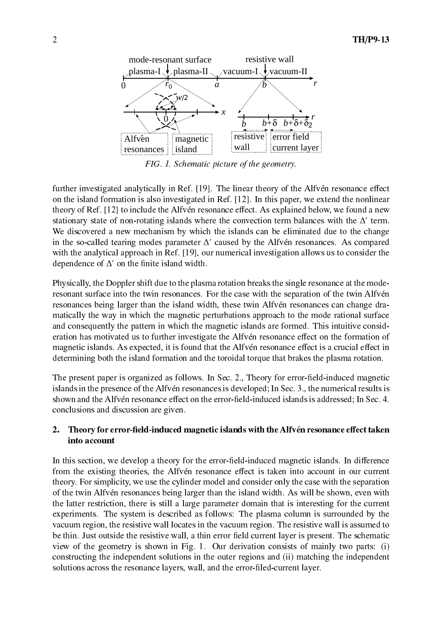

- 

  

) /// 5) 8C9 / ) +/) ? on the island formation is also investigated in Ref. [12]. In this paper, we extend the nonlinear  $\;$ theory of Ref.  $[12]$  to include the Alfven resonance effect. As explained below, we found a new stationary state of non-rotating islands where the convection term balances with the  $\Delta$  term.  $\mathcal{L}^{\text{max}}$ in the so-called tearing modes parameter  $\Delta'$  caused by the Alfven resonances. As compared with the analytical approach in Ref. [19], our numerical investigation allows us to consider the  $\,$ dependence of  $\Delta'$  on the finite island width.

Physically, the Doppler shift due to the plasma rotation breaks the single resonance at the moderesonant surface into the twin resonances. For the case with the separation of the twin Alfven  $\mathcal{L}$ matically the way in which the magnetic perturbations approach to the mode rational surface and consequently the pattern in which the magnetic islands are formed. This intuitive consid- . ) +/) ? ). ) magnetic islands. As expected, it is found that the Alfven resonance effect is a crucial effect in determining both the island formation and the toroidal torque that brakes the plasma rotation.

The present paper is organized as follows. In Sec. 2., Theory for error-field-induced magnetic islands in the presence of the Alfven resonances is developed; In Sec. 3., the numerical results is +/) ? 
:/ / E ( < /

## !  " - 
# into account

In this section, we develop a theory for the error-field-induced magnetic islands. In difference ). \* +/) ? theory. For simplicity, we use the cylinder model and consider only the case with the separation ) +/) ? ! / / + // ! the latter restriction, there is still a large parameter domain that is interesting for the current experiments. The system is described as follows: The plasma column is surrounded by the  $\mathcal{L}$ be thin. Just outside the resistive wall, a thin error field current layer is present. The schematic  $\theta$ view of the geometry is shown in Fig. 1. Our derivation consists of mainly two parts:  $(i)$ constructing the independent solutions in the outer regions and  $(i)$  matching the independent / / // 
:/ /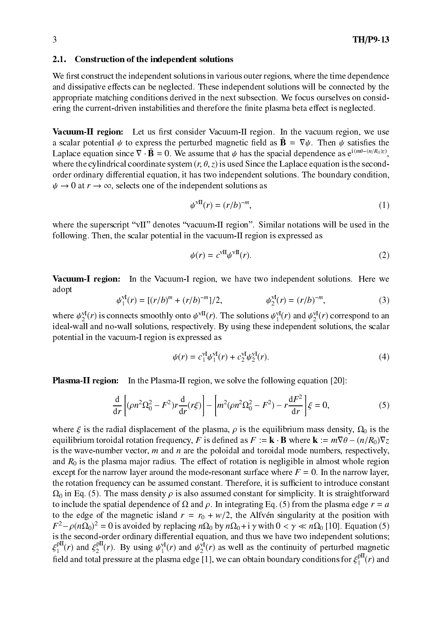#### $2.1.$ **Construction of the independent solutions**

We first construct the independent solutions in various outer regions, where the time dependence and dissipative effects can be neglected. These independent solutions will be connected by the appropriate matching conditions derived in the next subsection. We focus ourselves on considering the current-driven instabilities and therefore the finite plasma beta effect is neglected.

Vacuum-II region: Let us first consider Vacuum-II region. In the vacuum region, we use a scalar potential  $\psi$  to express the perturbed magnetic field as  $\tilde{\mathbf{B}} = \nabla \psi$ . Then  $\psi$  satisfies the Laplace equation since  $\nabla \cdot \tilde{\mathbf{B}} = 0$ . We assume that  $\psi$  has the spacial dependence as  $e^{i(m\theta - (n/R_0)z)}$ . where the cylindrical coordinate system  $(r, \theta, z)$  is used Since the Laplace equation is the secondorder ordinary differential equation, it has two independent solutions. The boundary condition,  $\psi \to 0$  at  $r \to \infty$ , selects one of the independent solutions as

$$
\psi^{\text{vII}}(r) = (r/b)^{-m},\tag{1}
$$

where the superscript "vII" denotes "vacuum-II region". Similar notations will be used in the following. Then, the scalar potential in the vacuum-II region is expressed as

$$
\psi(r) = c^{\text{vII}} \psi^{\text{vII}}(r). \tag{2}
$$

Vacuum-I region: In the Vacuum-I region, we have two independent solutions. Here we adopt

$$
\psi_1^{\text{VI}}(r) = [(r/b)^m + (r/b)^{-m}]/2, \qquad \psi_2^{\text{VI}}(r) = (r/b)^{-m}, \tag{3}
$$

where  $\psi_2^{\text{VI}}(r)$  is connects smoothly onto  $\psi^{\text{VI}}(r)$ . The solutions  $\psi_1^{\text{VI}}(r)$  and  $\psi_2^{\text{VI}}(r)$  correspond to an ideal-wall and no-wall solutions, respectively. By using these independent solutions, the s potential in the vacuum-I region is expressed as

$$
\psi(r) = c_1^{\text{VI}} \psi_1^{\text{VI}}(r) + c_2^{\text{VI}} \psi_2^{\text{VI}}(r). \tag{4}
$$

**Plasma-II region:** In the Plasma-II region, we solve the following equation [20]:

$$
\frac{d}{dr}\left[ (\rho n^2 \Omega_0^2 - F^2) r \frac{d}{dr} (r \xi) \right] - \left[ m^2 (\rho n^2 \Omega_0^2 - F^2) - r \frac{dF^2}{dr} \right] \xi = 0,
$$
\n(5)

where  $\xi$  is the radial displacement of the plasma,  $\rho$  is the equilibrium mass density,  $\Omega_0$  is the equilibrium toroidal rotation frequency, F is defined as  $F := \mathbf{k} \cdot \mathbf{B}$  where  $\mathbf{k} := m \nabla \theta - (n/R_0) \nabla z$ is the wave-number vector,  $m$  and  $n$  are the poloidal and toroidal mode numbers, respectively, and  $R_0$  is the plasma major radius. The effect of rotation is negligible in almost whole region except for the narrow layer around the mode-resonant surface where  $F = 0$ . In the narrow layer, the rotation frequency can be assumed constant. Therefore, it is sufficient to introduce constant  $\Omega_0$  in Eq. (5). The mass density  $\rho$  is also assumed constant for simplicity. It is straightforward to include the spatial dependence of  $\Omega$  and  $\rho$ . In integrating Eq. (5) from the plasma edge  $r = a$ to the edge of the magnetic island  $r = r_0 + w/2$ , the Alfvén singularity at the position with  $F^2 - \rho (n \Omega_0)^2 = 0$  is avoided by replacing  $n \Omega_0$  by  $n \Omega_0 + i \gamma$  with  $0 < \gamma \ll n \Omega_0$  [10]. Equation (5) is the second-order ordinary differential equation, and thus we have two independent solutions;  $\xi_1^{\text{pII}}(r)$  and  $\xi_2^{\text{pII}}(r)$ . By using  $\psi_1^{\text{VI}}(r)$  and  $\psi_2^{\text{VI}}(r)$  as well as the continuity of perturbed magnetic field and total pressure at the plasma edge [1], we can obtain boundary conditions for  $\xi_1^{\text{pII}}(r)$  and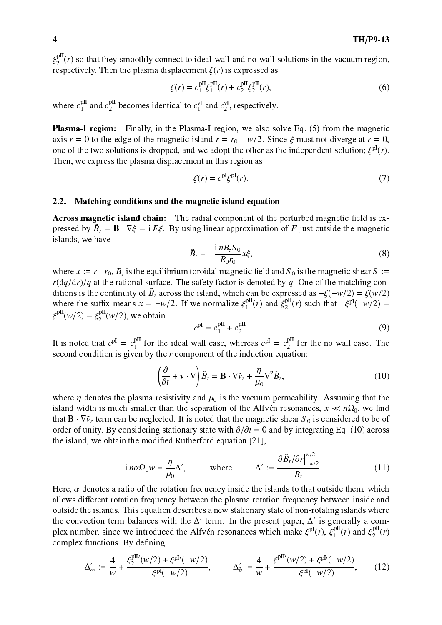$\xi_2^{\text{pII}}(r)$  so that they smoothly connect to ideal-wall and no-wall solutions in the vacuum region, respectively. Then the plasma displacement  $\xi(r)$  is expressed as

$$
\xi(r) = c_1^{\text{pII}} \xi_1^{\text{pII}}(r) + c_2^{\text{pII}} \xi_2^{\text{pII}}(r),\tag{6}
$$

where  $c_1^{\text{pII}}$  and  $c_2^{\text{pII}}$  becomes identical to  $c_1^{\text{vI}}$  and  $c_2^{\text{vI}}$ , respectively.

**Plasma-I region:** Finally, in the Plasma-I region, we also solve Eq. (5) from the magnetic axis  $r = 0$  to the edge of the magnetic island  $r = r_0 - w/2$ . Since  $\xi$  must not diverge at  $r = 0$ , one of the two solutions is dropped, and we adopt the other as the independent solution;  $\xi^{pI}(r)$ . Then, we express the plasma displacement in this region as

$$
\xi(r) = c^{\text{pl}} \xi^{\text{pl}}(r). \tag{7}
$$

#### $2.2.$ Matching conditions and the magnetic island equation

**Across magnetic island chain:** The radial component of the perturbed magnetic field is expressed by  $\tilde{B}_r = \mathbf{B} \cdot \nabla \xi = i F \xi$ . By using linear approximation of F just outside the magnetic islands, we have

$$
\tilde{B}_r = -\frac{\mathrm{i} n B_z S_0}{R_0 r_0} x \xi,\tag{8}
$$

where  $x := r - r_0$ ,  $B_z$  is the equilibrium toroidal magnetic field and  $S_0$  is the magnetic shear  $S :=$  $r(\frac{dq}{dr})/q$  at the rational surface. The safety factor is denoted by q. One of the matching conditions is the continuity of  $\tilde{B}_r$  across the island, which can be expressed as  $-\xi(-w/2) = \xi(w/2)$ where the suffix means  $x = \pm w/2$ . If we normalize  $\xi_1^{\text{pII}}(r)$  and  $\xi_2^{\text{pII}}(r)$  such that  $-\xi^{\text{pI}}(-w/2)$  =  $\xi_1^{\text{pII}}(w/2) = \xi_2^{\text{pII}}(w/2)$ , we obtain

$$
c^{\text{pI}} = c_1^{\text{pII}} + c_2^{\text{pII}}.
$$
 (9)

 $\cdots$ 10

It is noted that  $c^{pI} = c_1^{pII}$  for the ideal wall case, whereas  $c^{pI} = c_2^{pII}$  for the no wall case. The second condition is given by the  $r$  component of the induction equation:

$$
\left(\frac{\partial}{\partial t} + \mathbf{v} \cdot \nabla\right) \tilde{B}_r = \mathbf{B} \cdot \nabla \tilde{v}_r + \frac{\eta}{\mu_0} \nabla^2 \tilde{B}_r,\tag{10}
$$

where  $\eta$  denotes the plasma resistivity and  $\mu_0$  is the vacuum permeability. Assuming that the island width is much smaller than the separation of the Alfvén resonances,  $x \ll n\Omega_0$ , we find that  $\mathbf{B} \cdot \nabla \tilde{v}_r$  term can be neglected. It is noted that the magnetic shear  $S_0$  is considered to be of order of unity. By considering stationary state with  $\partial/\partial t = 0$  and by integrating Eq. (10) across the island, we obtain the modified Rutherford equation [21],

$$
-i n \alpha \Omega_0 w = \frac{\eta}{\mu_0} \Delta', \qquad \text{where} \qquad \Delta' := \frac{\partial \tilde{B}_r / \partial r \Big|_{-w/2}^{w/2}}{\tilde{B}_r}.
$$
 (11)

Here,  $\alpha$  denotes a ratio of the rotation frequency inside the islands to that outside them, which allows different rotation frequency between the plasma rotation frequency between inside and outside the islands. This equation describes a new stationary state of non-rotating islands where the convection term balances with the  $\Delta'$  term. In the present paper,  $\Delta'$  is generally a complex number, since we introduced the Alfvén resonances which make  $\xi^{pI}(r)$ ,  $\xi_1^{pII}(r)$  and  $\xi_2^{pII}(r)$ complex functions. By defining

$$
\Delta'_{\infty} := \frac{4}{w} + \frac{\xi_2^{\text{pII}'}(w/2) + \xi^{\text{pI}'}(-w/2)}{-\xi^{\text{pI}}(-w/2)}, \qquad \Delta'_b := \frac{4}{w} + \frac{\xi_1^{\text{pII}'}(w/2) + \xi^{\text{pI}'}(-w/2)}{-\xi^{\text{pI}}(-w/2)},\tag{12}
$$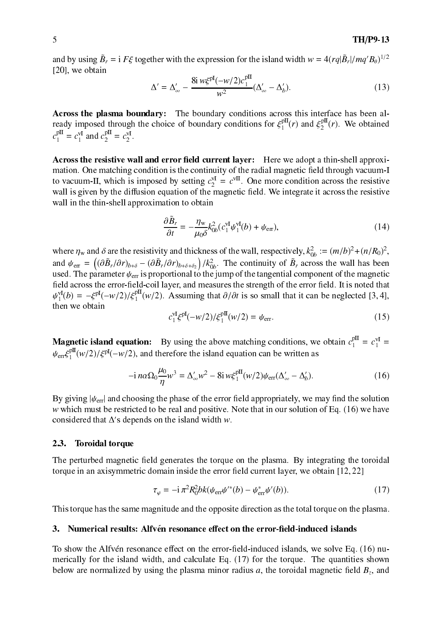and by using  $\tilde{B}_r = i F \xi$  together with the expression for the island width  $w = 4 (r q |\tilde{B}_r|/mq' B_\theta)^{1/2}$  $[20]$ , we obtain

$$
\Delta' = \Delta'_{\infty} - \frac{8i w \xi^{pI} (-w/2) c_1^{pII}}{w^2} (\Delta'_{\infty} - \Delta'_b).
$$
 (13)

Across the plasma boundary: The boundary conditions across this interface has been already imposed through the choice of boundary conditions for  $\xi_1^{\text{pII}}(r)$  and  $\xi_2^{\text{pII}}(r)$ . We obtained  $c_1^{\text{pII}} = c_1^{\text{vI}}$  and  $c_2^{\text{pII}} = c_2^{\text{vI}}$ .

Across the resistive wall and error field current laver: Here we adopt a thin-shell approximation. One matching condition is the continuity of the radial magnetic field through vacuum-I to vacuum-II, which is imposed by setting  $c_2^{\text{vI}} = c^{\text{vII}}$ . One more condition across the resistive wall is given by the diffusion equation of the magnetic field. We integrate it across the resistive wall in the thin-shell approximation to obtain

$$
\frac{\partial \tilde{B}_r}{\partial t} = -\frac{\eta_w}{\mu_0 \delta} k_{0b}^2 (c_1^{\text{VI}} \psi_1^{\text{VI}}(b) + \psi_{\text{err}}),\tag{14}
$$

where  $\eta_w$  and  $\delta$  are the resistivity and thickness of the wall, respectively,  $k_{0b}^2 := (m/b)^2 + (n/R_0)^2$ , and  $\psi_{\text{err}} = \left( (\partial \tilde{B}_r / \partial r)_{b+\delta} - (\partial \tilde{B}_r / \partial r)_{b+\delta+\delta_2} \right) / k_{0b}^2$ . The continuity of  $\tilde{B}_r$  across the wall has been used. The parameter  $\psi_{\text{err}}$  is proportional to the jump of the tangential component of the magnetic field across the error-field-coil layer, and measures the strength of the error field. It is noted that  $\psi_1^{\text{VI}}(b) = -\xi^{\text{pl}}(-w/2)/\xi_1^{\text{pl}}(w/2)$ . Assuming that  $\partial/\partial t$  is so small that it can be neglected [3,4], then we obtain

$$
c_1^{\text{VI}} \xi^{\text{pl}}(-w/2) / \xi_1^{\text{pII}}(w/2) = \psi_{\text{err}}.
$$
 (15)

**Magnetic island equation:** By using the above matching conditions, we obtain  $c_1^{\text{pII}} = c_1^{\text{vI}} = c_1^{\text{vI}}$  $\psi_{\text{err}} \xi_1^{\text{pII}}(w/2)/\xi^{\text{pI}}(-w/2)$ , and therefore the island equation can be written as

$$
-i n \alpha \Omega_0 \frac{\mu_0}{\eta} w^3 = \Delta'_{\infty} w^2 - 8i w \xi_1^{\text{pII}}(w/2) \psi_{\text{err}}(\Delta'_{\infty} - \Delta'_b). \tag{16}
$$

By giving  $|\psi_{\text{err}}|$  and choosing the phase of the error field appropriately, we may find the solution  $w$  which must be restricted to be real and positive. Note that in our solution of Eq. (16) we have considered that  $\Delta$ 's depends on the island width w.

#### $2.3.$ **Toroidal torque**

The perturbed magnetic field generates the torque on the plasma. By integrating the toroidal torque in an axisymmetric domain inside the error field current layer, we obtain  $[12, 22]$ 

$$
\tau_{\varphi} = -i \pi^2 R_0^2 bk(\psi_{\text{err}} \psi'^*(b) - \psi_{\text{err}}^* \psi'(b)). \tag{17}
$$

This torque has the same magnitude and the opposite direction as the total torque on the plasma.

### 3. Numerical results: Alfvén resonance effect on the error-field-induced islands

To show the Alfvén resonance effect on the error-field-induced islands, we solve Eq. (16) numerically for the island width, and calculate Eq. (17) for the torque. The quantities shown below are normalized by using the plasma minor radius a, the toroidal magnetic field  $B_z$ , and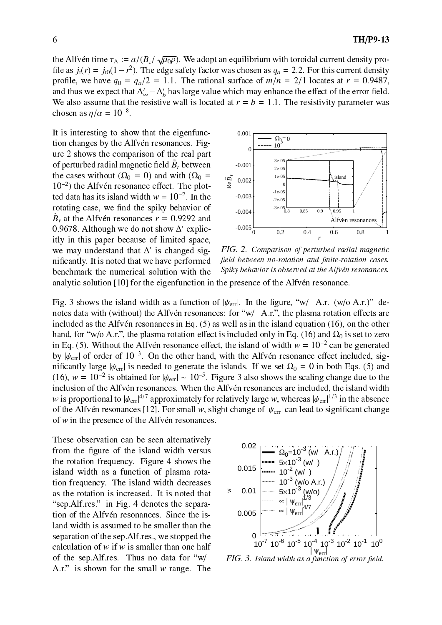the Alfvén time  $\tau_A := a/(B_z/\sqrt{\mu_0 \rho})$ . We adopt an equilibrium with toroidal current density profile as  $j_t(r) = j_{t0}(1 - r^2)$ . The edge safety factor was chosen as  $q_a = 2.2$ . For this current density profile, we have  $q_0 = q_a/2 = 1.1$ . The rational surface of  $m/n = 2/1$  locates at  $r = 0.9487$ , and thus we expect that  $\Delta'_{\infty} - \Delta'_{b}$  has large value which may enhance the effect of the error field. We also assume that the resistive wall is located at  $r = b = 1.1$ . The resistivity parameter was chosen as  $\eta/\alpha = 10^{-8}$ .

It is interesting to show that the eigenfunction changes by the Alfvén resonances. Figure 2 shows the comparison of the real part of perturbed radial magnetic field  $\ddot{B}_r$  between the cases without ( $\Omega_0 = 0$ ) and with ( $\Omega_0 =$  $10^{-2}$ ) the Alfvén resonance effect. The plotted data has its island width  $w = 10^{-2}$ . In the rotating case, we find the spiky behavior of  $\tilde{B}_r$  at the Alfvén resonances  $r = 0.9292$  and 0.9678. Although we do not show  $\Delta'$  explicitly in this paper because of limited space, we may understand that  $\Delta'$  is changed significantly. It is noted that we have performed benchmark the numerical solution with the



FIG. 2. Comparison of perturbed radial magnetic field between no-rotation and finite-rotation cases. Spiky behavior is observed at the Alfvén resonances.

analytic solution [10] for the eigenfunction in the presence of the Alfvén resonance.

Fig. 3 shows the island width as a function of  $|\psi_{\text{err}}|$ . In the figure, "w/ A.r. (w/o A.r.)" denotes data with (without) the Alfvén resonances: for "w/ A.r.", the plasma rotation effects are included as the Alfvén resonances in Eq.  $(5)$  as well as in the island equation  $(16)$ , on the other hand, for "w/o A.r.", the plasma rotation effect is included only in Eq. (16) and  $\Omega_0$  is set to zero in Eq. (5). Without the Alfvén resonance effect, the island of width  $w = 10^{-2}$  can be generated by  $|\psi_{\text{err}}|$  of order of  $10^{-3}$ . On the other hand, with the Alfvén resonance effect included, significantly large  $|\psi_{\text{err}}|$  is needed to generate the islands. If we set  $\Omega_0 = 0$  in both Eqs. (5) and (16),  $w = 10^{-2}$  is obtained for  $|\psi_{\text{err}}| \sim 10^{-5}$ . Figure 3 also shows the scaling change due to the inclusion of the Alfvén resonances. When the Alfvén resonances are included, the island width w is proportional to  $|\psi_{\text{err}}|^{4/7}$  approximately for relatively large w, whereas  $|\psi_{\text{err}}|^{1/3}$  in the absence of the Alfvén resonances [12]. For small w, slight change of  $|\psi_{\text{err}}|$  can lead to significant change of  $w$  in the presence of the Alfvén resonances.

These observation can be seen alternatively from the figure of the island width versus the rotation frequency. Figure 4 shows the island width as a function of plasma rotation frequency. The island width decreases as the rotation is increased. It is noted that "sep. Alf.res." in Fig. 4 denotes the separation of the Alfvén resonances. Since the island width is assumed to be smaller than the separation of the sep. Alf. res., we stopped the calculation of  $w$  if  $w$  is smaller than one half of the sep. Alf.res. Thus no data for "w/ A.r." is shown for the small  $w$  range. The



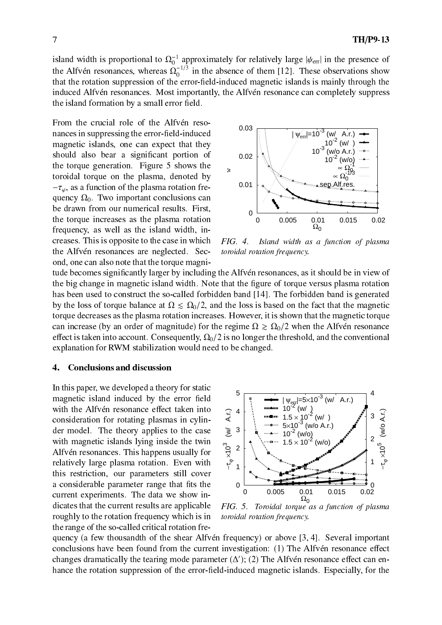island width is proportional to  $\Omega_0^{-1}$  approximately for relatively large  $|\psi_{\text{err}}|$  in the presence of the Alfvén resonances, whereas  $\Omega_0^{-1/3}$  in the absence of them [12]. These observations show that the rotation suppression of the error-field-induced magnetic islands is mainly through the induced Alfvén resonances. Most importantly, the Alfvén resonance can completely suppress the island formation by a small error field.

From the crucial role of the Alfvén resonances in suppressing the error-field-induced magnetic islands, one can expect that they should also bear a significant portion of the torque generation. Figure 5 shows the toroidal torque on the plasma, denoted by  $-\tau_{\varphi}$ , as a function of the plasma rotation frequency  $\Omega_0$ . Two important conclusions can be drawn from our numerical results. First, the torque increases as the plasma rotation frequency, as well as the island width, increases. This is opposite to the case in which the Alfvén resonances are neglected. Second, one can also note that the torque magni-



 $FIG. 4.$ Island width as a function of plasma toroidal rotation frequency.

tude becomes significantly larger by including the Alfven resonances, as it should be in view of the big change in magnetic island width. Note that the figure of torque versus plasma rotation has been used to construct the so-called forbidden band [14]. The forbidden band is generated by the loss of torque balance at  $\Omega \leq \Omega_0/2$ , and the loss is based on the fact that the magnetic torque decreases as the plasma rotation increases. However, it is shown that the magnetic torque can increase (by an order of magnitude) for the regime  $\Omega \ge \Omega_0/2$  when the Alfvén resonance effect is taken into account. Consequently,  $\Omega_0/2$  is no longer the threshold, and the conventional explanation for RWM stabilization would need to be changed.

#### $\overline{4}$ . **Conclusions and discussion**

In this paper, we developed a theory for static magnetic island induced by the error field with the Alfvén resonance effect taken into consideration for rotating plasmas in cylinder model. The theory applies to the case with magnetic islands lying inside the twin Alfvén resonances. This happens usually for relatively large plasma rotation. Even with this restriction, our parameters still cover a considerable parameter range that fits the current experiments. The data we show indicates that the current results are applicable roughly to the rotation frequency which is in the range of the so-called critical rotation fre-



FIG. 5. Toroidal torque as a function of plasma toroidal rotation frequency.

quency (a few thousandth of the shear Alfvén frequency) or above [3,4]. Several important conclusions have been found from the current investigation: (1) The Alfvén resonance effect changes dramatically the tearing mode parameter  $(\Delta')$ ; (2) The Alfvén resonance effect can enhance the rotation suppression of the error-field-induced magnetic islands. Especially, for the